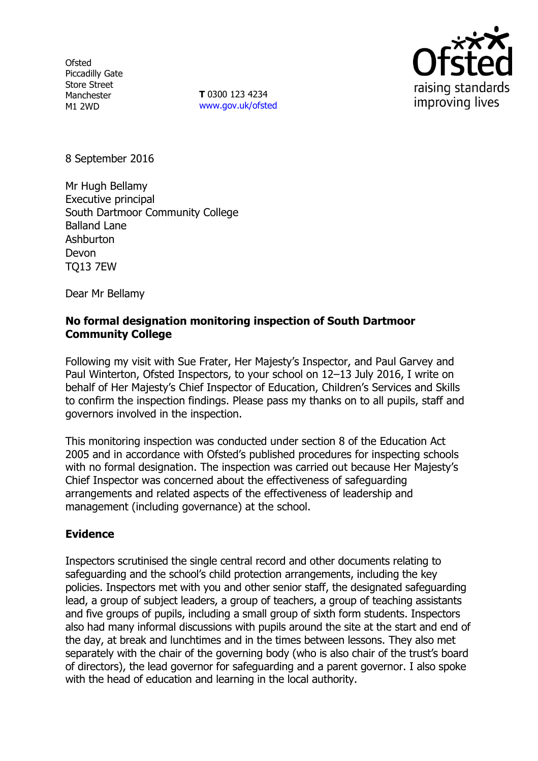**Ofsted** Piccadilly Gate Store Street Manchester M1 2WD

**T** 0300 123 4234 www.gov.uk/ofsted



8 September 2016

Mr Hugh Bellamy Executive principal South Dartmoor Community College Balland Lane Ashburton Devon TQ13 7EW

Dear Mr Bellamy

# **No formal designation monitoring inspection of South Dartmoor Community College**

Following my visit with Sue Frater, Her Majesty's Inspector, and Paul Garvey and Paul Winterton, Ofsted Inspectors, to your school on 12–13 July 2016, I write on behalf of Her Majesty's Chief Inspector of Education, Children's Services and Skills to confirm the inspection findings. Please pass my thanks on to all pupils, staff and governors involved in the inspection.

This monitoring inspection was conducted under section 8 of the Education Act 2005 and in accordance with Ofsted's published procedures for inspecting schools with no formal designation. The inspection was carried out because Her Majesty's Chief Inspector was concerned about the effectiveness of safeguarding arrangements and related aspects of the effectiveness of leadership and management (including governance) at the school.

# **Evidence**

Inspectors scrutinised the single central record and other documents relating to safeguarding and the school's child protection arrangements, including the key policies. Inspectors met with you and other senior staff, the designated safeguarding lead, a group of subject leaders, a group of teachers, a group of teaching assistants and five groups of pupils, including a small group of sixth form students. Inspectors also had many informal discussions with pupils around the site at the start and end of the day, at break and lunchtimes and in the times between lessons. They also met separately with the chair of the governing body (who is also chair of the trust's board of directors), the lead governor for safeguarding and a parent governor. I also spoke with the head of education and learning in the local authority.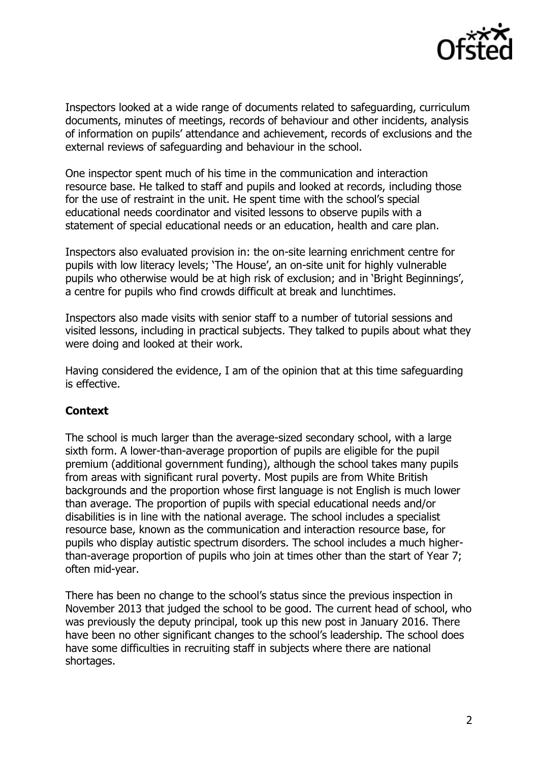

Inspectors looked at a wide range of documents related to safeguarding, curriculum documents, minutes of meetings, records of behaviour and other incidents, analysis of information on pupils' attendance and achievement, records of exclusions and the external reviews of safeguarding and behaviour in the school.

One inspector spent much of his time in the communication and interaction resource base. He talked to staff and pupils and looked at records, including those for the use of restraint in the unit. He spent time with the school's special educational needs coordinator and visited lessons to observe pupils with a statement of special educational needs or an education, health and care plan.

Inspectors also evaluated provision in: the on-site learning enrichment centre for pupils with low literacy levels; 'The House', an on-site unit for highly vulnerable pupils who otherwise would be at high risk of exclusion; and in 'Bright Beginnings', a centre for pupils who find crowds difficult at break and lunchtimes.

Inspectors also made visits with senior staff to a number of tutorial sessions and visited lessons, including in practical subjects. They talked to pupils about what they were doing and looked at their work.

Having considered the evidence, I am of the opinion that at this time safeguarding is effective.

# **Context**

The school is much larger than the average-sized secondary school, with a large sixth form. A lower-than-average proportion of pupils are eligible for the pupil premium (additional government funding), although the school takes many pupils from areas with significant rural poverty. Most pupils are from White British backgrounds and the proportion whose first language is not English is much lower than average. The proportion of pupils with special educational needs and/or disabilities is in line with the national average. The school includes a specialist resource base, known as the communication and interaction resource base, for pupils who display autistic spectrum disorders. The school includes a much higherthan-average proportion of pupils who join at times other than the start of Year 7; often mid-year.

There has been no change to the school's status since the previous inspection in November 2013 that judged the school to be good. The current head of school, who was previously the deputy principal, took up this new post in January 2016. There have been no other significant changes to the school's leadership. The school does have some difficulties in recruiting staff in subjects where there are national shortages.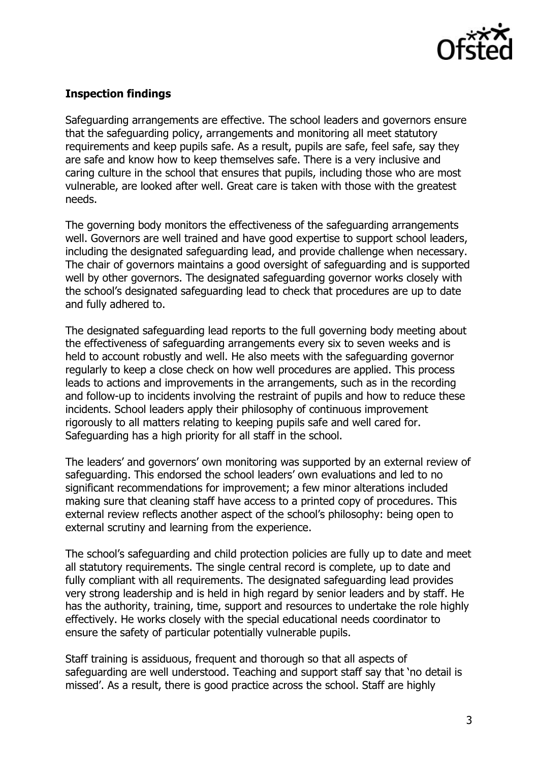

# **Inspection findings**

Safeguarding arrangements are effective. The school leaders and governors ensure that the safeguarding policy, arrangements and monitoring all meet statutory requirements and keep pupils safe. As a result, pupils are safe, feel safe, say they are safe and know how to keep themselves safe. There is a very inclusive and caring culture in the school that ensures that pupils, including those who are most vulnerable, are looked after well. Great care is taken with those with the greatest needs.

The governing body monitors the effectiveness of the safeguarding arrangements well. Governors are well trained and have good expertise to support school leaders, including the designated safeguarding lead, and provide challenge when necessary. The chair of governors maintains a good oversight of safeguarding and is supported well by other governors. The designated safeguarding governor works closely with the school's designated safeguarding lead to check that procedures are up to date and fully adhered to.

The designated safeguarding lead reports to the full governing body meeting about the effectiveness of safeguarding arrangements every six to seven weeks and is held to account robustly and well. He also meets with the safeguarding governor regularly to keep a close check on how well procedures are applied. This process leads to actions and improvements in the arrangements, such as in the recording and follow-up to incidents involving the restraint of pupils and how to reduce these incidents. School leaders apply their philosophy of continuous improvement rigorously to all matters relating to keeping pupils safe and well cared for. Safeguarding has a high priority for all staff in the school.

The leaders' and governors' own monitoring was supported by an external review of safeguarding. This endorsed the school leaders' own evaluations and led to no significant recommendations for improvement; a few minor alterations included making sure that cleaning staff have access to a printed copy of procedures. This external review reflects another aspect of the school's philosophy: being open to external scrutiny and learning from the experience.

The school's safeguarding and child protection policies are fully up to date and meet all statutory requirements. The single central record is complete, up to date and fully compliant with all requirements. The designated safeguarding lead provides very strong leadership and is held in high regard by senior leaders and by staff. He has the authority, training, time, support and resources to undertake the role highly effectively. He works closely with the special educational needs coordinator to ensure the safety of particular potentially vulnerable pupils.

Staff training is assiduous, frequent and thorough so that all aspects of safeguarding are well understood. Teaching and support staff say that 'no detail is missed'. As a result, there is good practice across the school. Staff are highly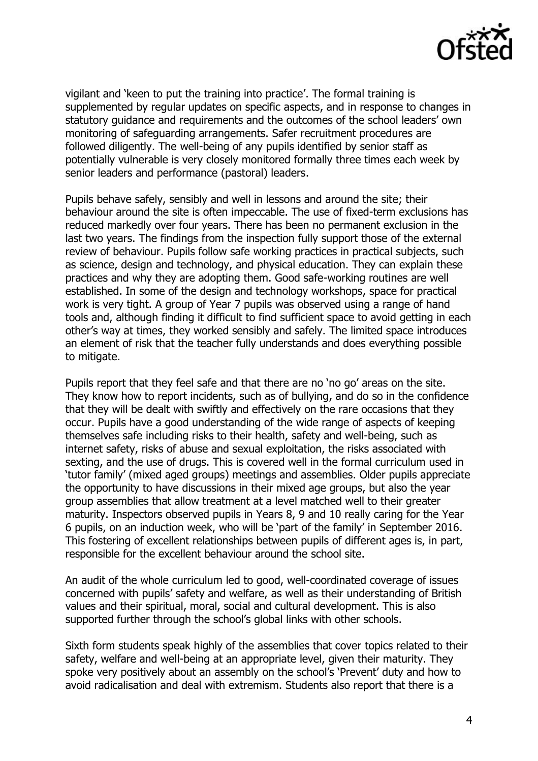

vigilant and 'keen to put the training into practice'. The formal training is supplemented by regular updates on specific aspects, and in response to changes in statutory guidance and requirements and the outcomes of the school leaders' own monitoring of safeguarding arrangements. Safer recruitment procedures are followed diligently. The well-being of any pupils identified by senior staff as potentially vulnerable is very closely monitored formally three times each week by senior leaders and performance (pastoral) leaders.

Pupils behave safely, sensibly and well in lessons and around the site; their behaviour around the site is often impeccable. The use of fixed-term exclusions has reduced markedly over four years. There has been no permanent exclusion in the last two years. The findings from the inspection fully support those of the external review of behaviour. Pupils follow safe working practices in practical subjects, such as science, design and technology, and physical education. They can explain these practices and why they are adopting them. Good safe-working routines are well established. In some of the design and technology workshops, space for practical work is very tight. A group of Year 7 pupils was observed using a range of hand tools and, although finding it difficult to find sufficient space to avoid getting in each other's way at times, they worked sensibly and safely. The limited space introduces an element of risk that the teacher fully understands and does everything possible to mitigate.

Pupils report that they feel safe and that there are no 'no go' areas on the site. They know how to report incidents, such as of bullying, and do so in the confidence that they will be dealt with swiftly and effectively on the rare occasions that they occur. Pupils have a good understanding of the wide range of aspects of keeping themselves safe including risks to their health, safety and well-being, such as internet safety, risks of abuse and sexual exploitation, the risks associated with sexting, and the use of drugs. This is covered well in the formal curriculum used in 'tutor family' (mixed aged groups) meetings and assemblies. Older pupils appreciate the opportunity to have discussions in their mixed age groups, but also the year group assemblies that allow treatment at a level matched well to their greater maturity. Inspectors observed pupils in Years 8, 9 and 10 really caring for the Year 6 pupils, on an induction week, who will be 'part of the family' in September 2016. This fostering of excellent relationships between pupils of different ages is, in part, responsible for the excellent behaviour around the school site.

An audit of the whole curriculum led to good, well-coordinated coverage of issues concerned with pupils' safety and welfare, as well as their understanding of British values and their spiritual, moral, social and cultural development. This is also supported further through the school's global links with other schools.

Sixth form students speak highly of the assemblies that cover topics related to their safety, welfare and well-being at an appropriate level, given their maturity. They spoke very positively about an assembly on the school's 'Prevent' duty and how to avoid radicalisation and deal with extremism. Students also report that there is a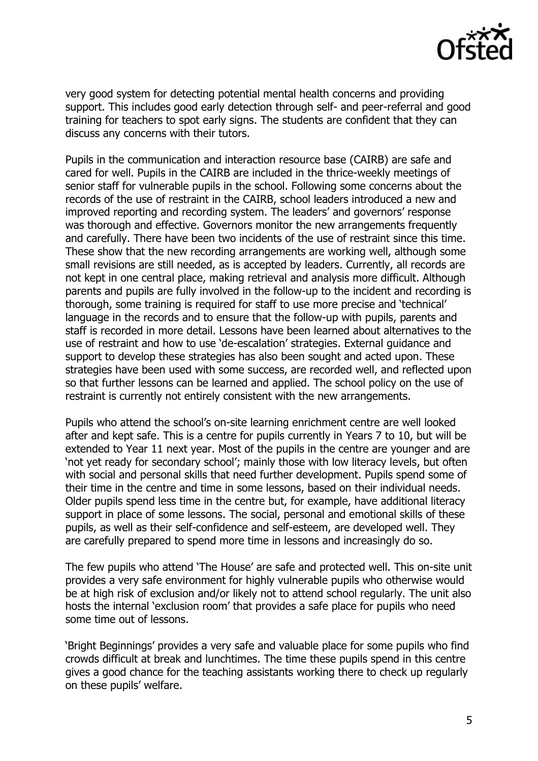

very good system for detecting potential mental health concerns and providing support. This includes good early detection through self- and peer-referral and good training for teachers to spot early signs. The students are confident that they can discuss any concerns with their tutors.

Pupils in the communication and interaction resource base (CAIRB) are safe and cared for well. Pupils in the CAIRB are included in the thrice-weekly meetings of senior staff for vulnerable pupils in the school. Following some concerns about the records of the use of restraint in the CAIRB, school leaders introduced a new and improved reporting and recording system. The leaders' and governors' response was thorough and effective. Governors monitor the new arrangements frequently and carefully. There have been two incidents of the use of restraint since this time. These show that the new recording arrangements are working well, although some small revisions are still needed, as is accepted by leaders. Currently, all records are not kept in one central place, making retrieval and analysis more difficult. Although parents and pupils are fully involved in the follow-up to the incident and recording is thorough, some training is required for staff to use more precise and 'technical' language in the records and to ensure that the follow-up with pupils, parents and staff is recorded in more detail. Lessons have been learned about alternatives to the use of restraint and how to use 'de-escalation' strategies. External guidance and support to develop these strategies has also been sought and acted upon. These strategies have been used with some success, are recorded well, and reflected upon so that further lessons can be learned and applied. The school policy on the use of restraint is currently not entirely consistent with the new arrangements.

Pupils who attend the school's on-site learning enrichment centre are well looked after and kept safe. This is a centre for pupils currently in Years 7 to 10, but will be extended to Year 11 next year. Most of the pupils in the centre are younger and are 'not yet ready for secondary school'; mainly those with low literacy levels, but often with social and personal skills that need further development. Pupils spend some of their time in the centre and time in some lessons, based on their individual needs. Older pupils spend less time in the centre but, for example, have additional literacy support in place of some lessons. The social, personal and emotional skills of these pupils, as well as their self-confidence and self-esteem, are developed well. They are carefully prepared to spend more time in lessons and increasingly do so.

The few pupils who attend 'The House' are safe and protected well. This on-site unit provides a very safe environment for highly vulnerable pupils who otherwise would be at high risk of exclusion and/or likely not to attend school regularly. The unit also hosts the internal 'exclusion room' that provides a safe place for pupils who need some time out of lessons.

'Bright Beginnings' provides a very safe and valuable place for some pupils who find crowds difficult at break and lunchtimes. The time these pupils spend in this centre gives a good chance for the teaching assistants working there to check up regularly on these pupils' welfare.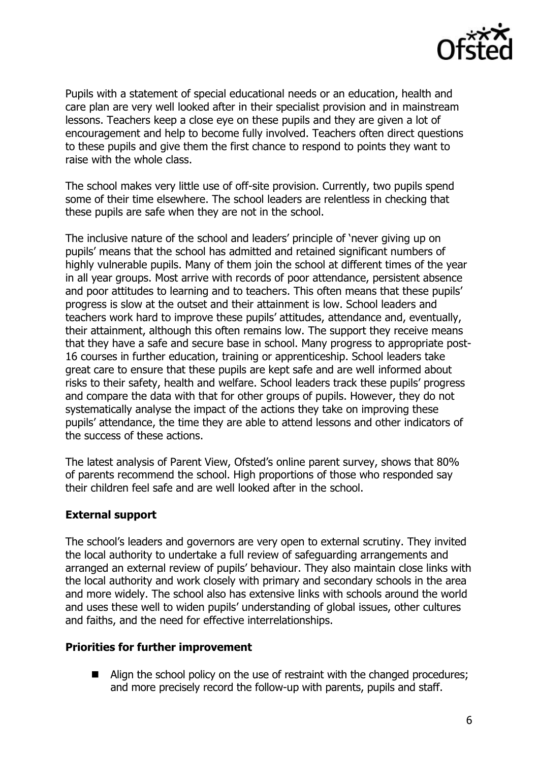

Pupils with a statement of special educational needs or an education, health and care plan are very well looked after in their specialist provision and in mainstream lessons. Teachers keep a close eye on these pupils and they are given a lot of encouragement and help to become fully involved. Teachers often direct questions to these pupils and give them the first chance to respond to points they want to raise with the whole class.

The school makes very little use of off-site provision. Currently, two pupils spend some of their time elsewhere. The school leaders are relentless in checking that these pupils are safe when they are not in the school.

The inclusive nature of the school and leaders' principle of 'never giving up on pupils' means that the school has admitted and retained significant numbers of highly vulnerable pupils. Many of them join the school at different times of the year in all year groups. Most arrive with records of poor attendance, persistent absence and poor attitudes to learning and to teachers. This often means that these pupils' progress is slow at the outset and their attainment is low. School leaders and teachers work hard to improve these pupils' attitudes, attendance and, eventually, their attainment, although this often remains low. The support they receive means that they have a safe and secure base in school. Many progress to appropriate post-16 courses in further education, training or apprenticeship. School leaders take great care to ensure that these pupils are kept safe and are well informed about risks to their safety, health and welfare. School leaders track these pupils' progress and compare the data with that for other groups of pupils. However, they do not systematically analyse the impact of the actions they take on improving these pupils' attendance, the time they are able to attend lessons and other indicators of the success of these actions.

The latest analysis of Parent View, Ofsted's online parent survey, shows that 80% of parents recommend the school. High proportions of those who responded say their children feel safe and are well looked after in the school.

# **External support**

The school's leaders and governors are very open to external scrutiny. They invited the local authority to undertake a full review of safeguarding arrangements and arranged an external review of pupils' behaviour. They also maintain close links with the local authority and work closely with primary and secondary schools in the area and more widely. The school also has extensive links with schools around the world and uses these well to widen pupils' understanding of global issues, other cultures and faiths, and the need for effective interrelationships.

# **Priorities for further improvement**

■ Align the school policy on the use of restraint with the changed procedures; and more precisely record the follow-up with parents, pupils and staff.